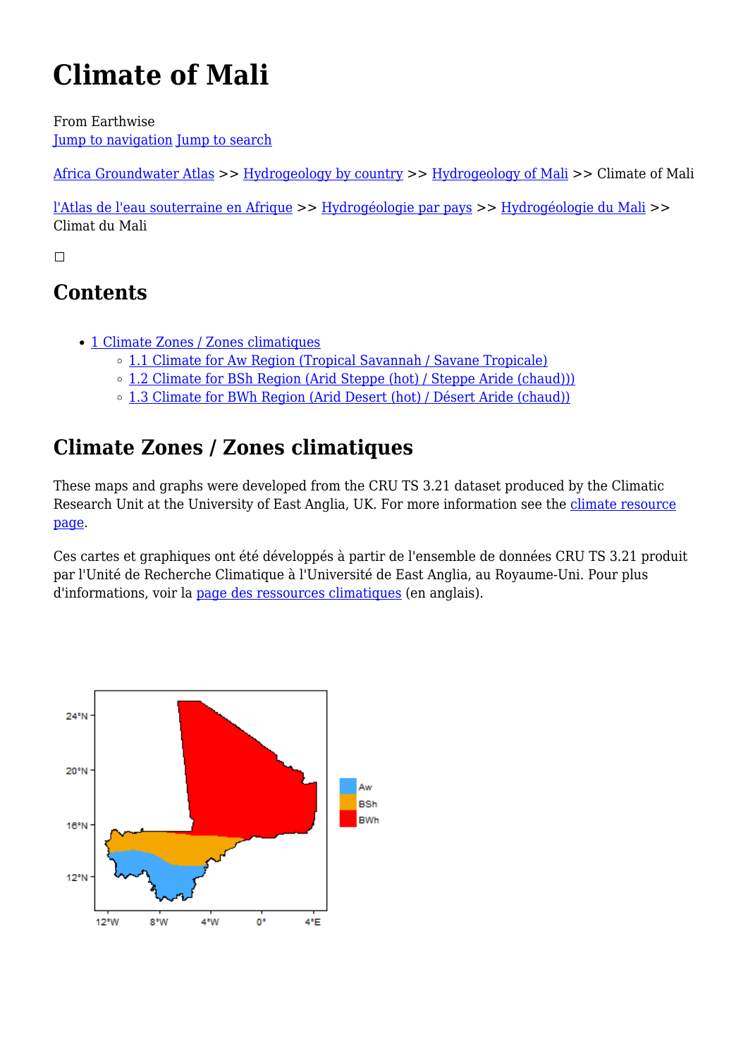# **Climate of Mali**

From Earthwise [Jump to navigation](#page--1-0) [Jump to search](#page--1-0)

[Africa Groundwater Atlas](http://earthwise.bgs.ac.uk/index.php/Overview_of_Africa_Groundwater_Atlas) >> [Hydrogeology by country](http://earthwise.bgs.ac.uk/index.php/Hydrogeology_by_country) >> [Hydrogeology of Mali](http://earthwise.bgs.ac.uk/index.php/Hydrogeology_of_Mali) >> Climate of Mali

[l'Atlas de l'eau souterraine en Afrique](http://earthwise.bgs.ac.uk/index.php/Atlas_Eaux_Souterraines_Afrique) >> [Hydrogéologie par pays](http://earthwise.bgs.ac.uk/index.php/Hydrog%C3%A9ologie_par_pays) >> [Hydrogéologie du Mali](http://earthwise.bgs.ac.uk/index.php/Hydrog%C3%A9ologie_du_Mali) >> Climat du Mali

 $\Box$ 

# **Contents**

- [1](#Climate_Zones_.2F_Zones_climatiques) [Climate Zones / Zones climatiques](#Climate_Zones_.2F_Zones_climatiques)
	- [1.1](#Climate_for_Aw_Region_.28Tropical_Savannah_.2F_Savane_Tropicale.29) [Climate for Aw Region \(Tropical Savannah / Savane Tropicale\)](#Climate_for_Aw_Region_.28Tropical_Savannah_.2F_Savane_Tropicale.29)
	- [1.2](#Climate_for_BSh_Region_.28Arid_Steppe_.28hot.29_.2F_Steppe_Aride_.28chaud.29.29.29) [Climate for BSh Region \(Arid Steppe \(hot\) / Steppe Aride \(chaud\)\)\)](#Climate_for_BSh_Region_.28Arid_Steppe_.28hot.29_.2F_Steppe_Aride_.28chaud.29.29.29)
	- [1.3](#Climate_for_BWh_Region_.28Arid_Desert_.28hot.29_.2F_D.C3.A9sert_Aride_.28chaud.29.29) [Climate for BWh Region \(Arid Desert \(hot\) / Désert Aride \(chaud\)\)](#Climate_for_BWh_Region_.28Arid_Desert_.28hot.29_.2F_D.C3.A9sert_Aride_.28chaud.29.29)

# **Climate Zones / Zones climatiques**

These maps and graphs were developed from the CRU TS 3.21 dataset produced by the Climatic Research Unit at the University of East Anglia, UK. For more information see the [climate resource](http://earthwise.bgs.ac.uk/index.php/Climate) [page.](http://earthwise.bgs.ac.uk/index.php/Climate)

Ces cartes et graphiques ont été développés à partir de l'ensemble de données CRU TS 3.21 produit par l'Unité de Recherche Climatique à l'Université de East Anglia, au Royaume-Uni. Pour plus d'informations, voir la [page des ressources climatiques](http://earthwise.bgs.ac.uk/index.php/Climate) (en anglais).

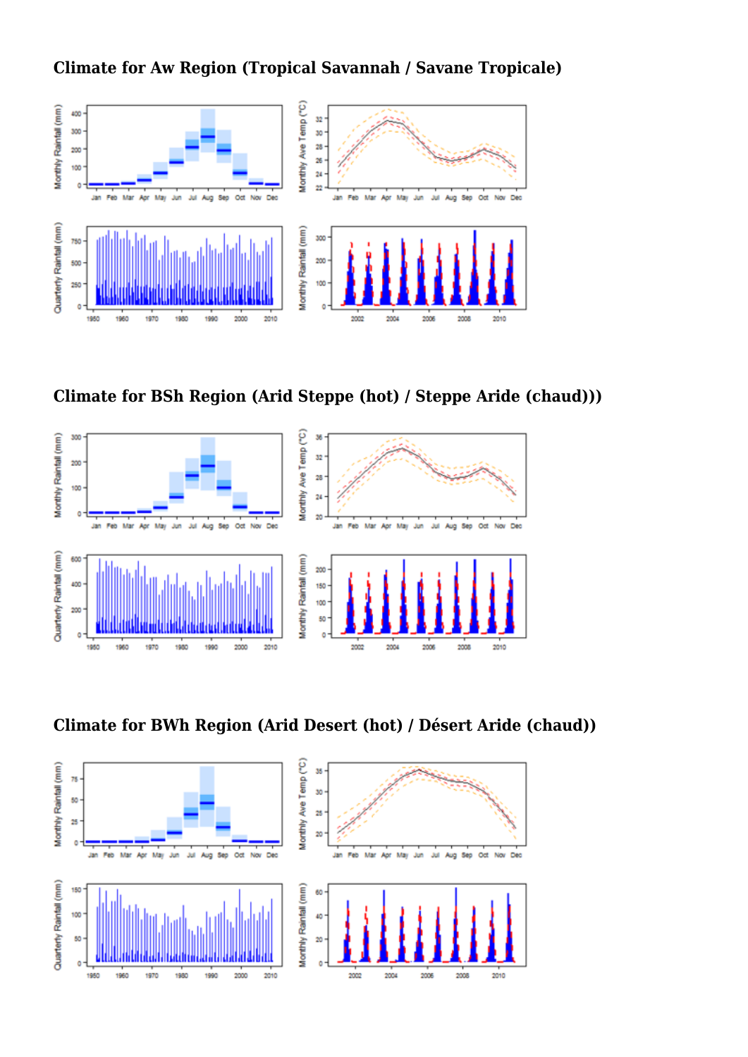## **Climate for Aw Region (Tropical Savannah / Savane Tropicale)**









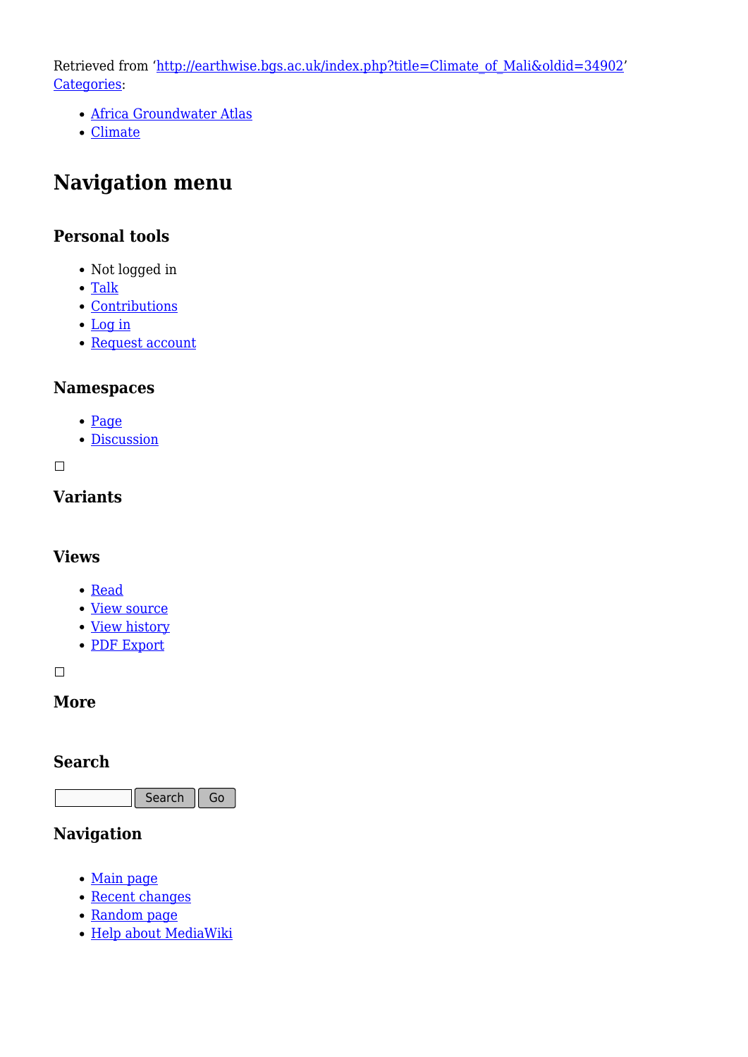Retrieved from ['http://earthwise.bgs.ac.uk/index.php?title=Climate\\_of\\_Mali&oldid=34902'](http://earthwise.bgs.ac.uk/index.php?title=Climate_of_Mali&oldid=34902) [Categories:](http://earthwise.bgs.ac.uk/index.php/Special:Categories)

- [Africa Groundwater Atlas](http://earthwise.bgs.ac.uk/index.php/Category:Africa_Groundwater_Atlas)
- [Climate](http://earthwise.bgs.ac.uk/index.php/Category:Climate)

# **Navigation menu**

## **Personal tools**

- Not logged in
- [Talk](http://earthwise.bgs.ac.uk/index.php/Special:MyTalk)
- [Contributions](http://earthwise.bgs.ac.uk/index.php/Special:MyContributions)
- [Log in](http://earthwise.bgs.ac.uk/index.php?title=Special:UserLogin&returnto=Climate+of+Mali&returntoquery=action%3Dmpdf)
- [Request account](http://earthwise.bgs.ac.uk/index.php/Special:RequestAccount)

## **Namespaces**

- [Page](http://earthwise.bgs.ac.uk/index.php/Climate_of_Mali)
- [Discussion](http://earthwise.bgs.ac.uk/index.php?title=Talk:Climate_of_Mali&action=edit&redlink=1)

 $\Box$ 

# **Variants**

## **Views**

- [Read](http://earthwise.bgs.ac.uk/index.php/Climate_of_Mali)
- [View source](http://earthwise.bgs.ac.uk/index.php?title=Climate_of_Mali&action=edit)
- [View history](http://earthwise.bgs.ac.uk/index.php?title=Climate_of_Mali&action=history)
- [PDF Export](http://earthwise.bgs.ac.uk/index.php?title=Climate_of_Mali&action=mpdf)

 $\overline{\phantom{a}}$ 

## **More**

## **Search**

Search  $\|$  Go

# **Navigation**

- [Main page](http://earthwise.bgs.ac.uk/index.php/Main_Page)
- [Recent changes](http://earthwise.bgs.ac.uk/index.php/Special:RecentChanges)
- [Random page](http://earthwise.bgs.ac.uk/index.php/Special:Random)
- [Help about MediaWiki](https://www.mediawiki.org/wiki/Special:MyLanguage/Help:Contents)